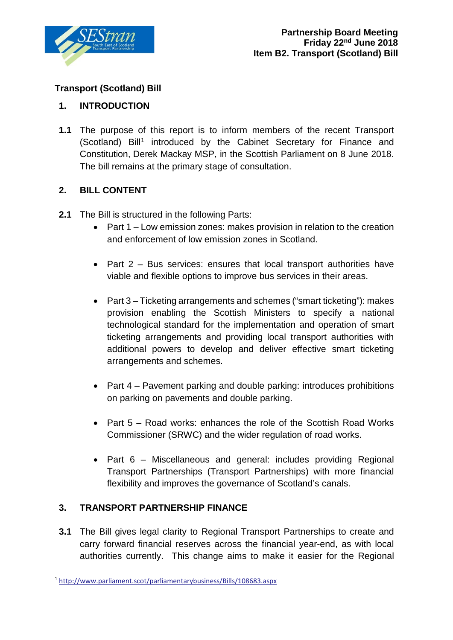

# **Transport (Scotland) Bill**

## **1. INTRODUCTION**

**1.1** The purpose of this report is to inform members of the recent Transport (Scotland) Bill<sup>[1](#page-0-0)</sup> introduced by the Cabinet Secretary for Finance and Constitution, Derek Mackay MSP, in the Scottish Parliament on 8 June 2018. The bill remains at the primary stage of consultation.

### **2. BILL CONTENT**

- **2.1** The Bill is structured in the following Parts:
	- Part 1 Low emission zones: makes provision in relation to the creation and enforcement of low emission zones in Scotland.
	- Part 2 Bus services: ensures that local transport authorities have viable and flexible options to improve bus services in their areas.
	- Part 3 Ticketing arrangements and schemes ("smart ticketing"): makes provision enabling the Scottish Ministers to specify a national technological standard for the implementation and operation of smart ticketing arrangements and providing local transport authorities with additional powers to develop and deliver effective smart ticketing arrangements and schemes.
	- Part 4 Pavement parking and double parking: introduces prohibitions on parking on pavements and double parking.
	- Part 5 Road works: enhances the role of the Scottish Road Works Commissioner (SRWC) and the wider regulation of road works.
	- Part 6 Miscellaneous and general: includes providing Regional Transport Partnerships (Transport Partnerships) with more financial flexibility and improves the governance of Scotland's canals.

## **3. TRANSPORT PARTNERSHIP FINANCE**

**3.1** The Bill gives legal clarity to Regional Transport Partnerships to create and carry forward financial reserves across the financial year-end, as with local authorities currently. This change aims to make it easier for the Regional

<span id="page-0-0"></span> <sup>1</sup> <http://www.parliament.scot/parliamentarybusiness/Bills/108683.aspx>